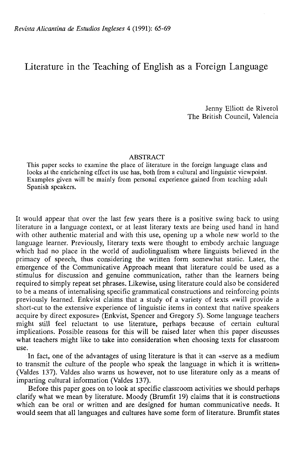## Literature in the Teaching of English as a Foreign Language

Jenny Elliott de Riverol The British Council, Valencia

## ABSTRACT

This paper secks to examine the place of literature in the foreign language class and looks at the enrichening effect its use has, both from a cultural and linguistic viewpoint. Examples given will be mainly from personal experience gained from teaching adult Spanish speakers.

It would appear that over the last few years there is a positive swing back to using literature in a language context, or at least literary texts are being used hand in hand with other authentic material and with this use, opening up a whole new world to the language learner. Previously, literary texts were thought to embody archaic language which had no place in the world of audiolingualism where linguists believed in the primacy of speech, thus considering the written form somewhat static. Later, the emergence of the Communicative Approach meant that literature could be used as a stimulus for discussion and genuine communication, rather than the learners being required to simply repeat set phrases. Likewise, using literature could also be considered to be a means of internalising specific grammatical constructions and reinforcing points previously learned. Enkvist claims that a study of a variety of texts «will provide a short-cut to the extensive experience of linguistic items in context that native speakers acquire by direct exposure» (Enkvist, Spencer and Gregory 5). Some language teachers might still feel reluctant to use literature, perhaps because of certain cultural implications. Possible reasons for this will be raised later when this paper discusses what teachers might like to take into consideration when choosing texts for classroom use.

In fact, one of the advantages of using literature is that it can «serve as a medium to transmit the culture of the people who speak the language in which it is written» (Valdes 137). Valdes also warns us however, not to use literature only as a means of imparting cultural information (Valdes 137).

Before this paper goes on to look at specific classroom activities we should perhaps clarify what we mean by literature. Moody (Brumfit 19) claims that it is constructions which can be oral or written and are designed for human communicative needs. It would seem that all languages and cultures have some form of literature. Brumfit states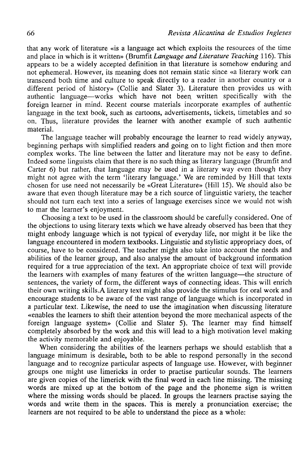that any work of literature «is a language act which exploits the resources of the time and place in which is it written» (Brumfit *Language and Literature Teaching* 116). This appears to be a widely accepted definition in that literature is somehow enduring and not ephemeral. However, its meaning does not remain static since «a literary work can transcend both time and culture to speak directly to a reader in another country or a different period of history» (Collie and Slater 3). Literature then provides us with authentic language—works which have not been written specifically with the foreign learner in mind. Recent course materials incorpórate examples of authentic language in the text book, such as cartoons, advertisements, tickets, timetables and so on. Thus, literature provides the learner with another example of such authentic material.

The language teacher will probably encourage the learner to read widely anyway, beginning perhaps with simplified readers and going on to light fiction and then more complex works. The line bétween the latter and literature may not be easy to define. Indeed some linguists claim that there is no such thing as literary language (Brumfit and Carter 6) but rather, that language may be used in a literary way even though they might not agree with the term 'literary language.' We are reminded by Hill that texts chosen for use need not necessarily be «Great Literature» (Hill 15). We should also be aware that even though literature may be a rich source of linguistic variety, the teacher should not turn each text into a series of language exercises since we would not wish to mar the leamer's enjoyment.

Choosing a text to be used in the classroom should be carefully considered. One of the objections to using literary texts which we have already observed has been that they might enbody language which is not typical of everyday life, ñor might it be like the language encountered in modern textbooks. Linguistic and stylistic appropriacy does, of course, have to be considered. The teacher might also take into account the needs and abilities of the learner group, and also analyse the amount of background information required for a true appreciation of the text. An appropriate choice of text will provide the leamers with examples of many features of the written language—the structure of sentences, the variety of form, the different ways of connecting ideas. This will enrich their own writing skills.A literary text might also provide the stimulus for oral work and encourage students to be aware of the vast range of language which is incorporated in a particular text. Likewise, the need to use the imagination when discussing literature «enables the leamers to shift their attention beyond the more mechanical aspects of the foreign language system» (Collie and Slater 5). The learner may find himself completely absorbed by the work and this will lead to a high motivation level making the activity memorable and enjoyable.

When considering the abilities of the leamers perhaps we should establish that a language minimum is desirable, both to be able to respond personally in the second language and to recognize particular aspects of language use. However, with beginner groups one might use limericks in order to practise particular sounds. The leamers are given copies of the limerick with the final word in each line missing. The missing words are mixed up at the bottom of the page and the phoneme sign is written where the missing words should be placed. In groups the leamers practise saying the words and write them in the spaces. This is merely a pronunciation exercise; the learners are not required to be able to understand the piece as a whole: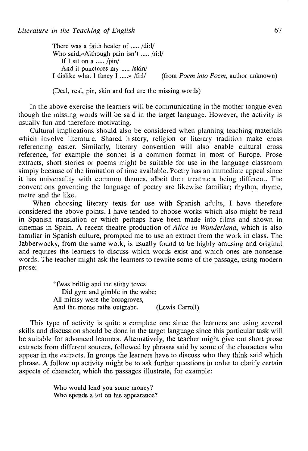There was a faith healer of  $\dots$  /di:l/ Who said, «Although pain isn't .....  $/ri:1/$ If I sit on a  $\ldots$  /pin/ And it punctures my ..... /skin/<br>I dislike what I fancy I ....... /fi:l/ (from *Poem into Poem*, author unknown)

(Deal, real, pin, skin and feel are the missing words)

In the above exercise the learners will be communicating in the mother tongue even though the missing words will be said in the target language. However, the activity is usually fun and therefore motivating.

Cultural implications should also be considered when planning teaching materials which involve literature. Shared history, religion or literary tradition make cross referencing easier. Similarly, literary convention will also enable cultural cross reference, for example the sonnet is a common format in most of Europe. Prose extracts, short stories or poems might be suitable for use in the language classroom simply because of the limitation of time available. Poetry has an immediate appeal since it has universality with common themes, albeit their treatment being different. The conventions governing the language of poetry are likewise familiar; rhythm, rhyme, metre and the like.

When choosing literary texts for use with Spanish adults, I have therefore considered the above points. I have tended to choose works which also might be read in Spanish translation or which perhaps have been made into films and shown in cinemas in Spain. A recent theatre production of *Alice in Wonderland,* which is also familiar in Spanish culture, prompted me to use an extract from the work in class. The Jabberwocky, from the same work, is usually found to be highly amusing and original and requires the learners to discuss which words exist and which ones are nonsense words. The teacher might ask the learners to rewrite some of the passage, using modern prose:

> 'Twas brillig and the slithy toves Did gyre and gimble in the wabe; All mimsy were the borogroves, And the mome raths outgrabe. (Lewis Carroll)

This type of activity is quite a complete one since the learners are using several skills and discussion should be done in the target language since this particular task will be suitable for advanced learners. Alternatively, the teacher might give out short prose extracts from different sources, followed by phrases said by some of the characters who appear in the extracts. In groups the learners have to discuss who they think said which phrase. A follow up activity might be to ask further questions in order to clarify certain aspects of character, which the passages illustrate, for example:

> Who would lend you some money? Who spends a lot on his appearance?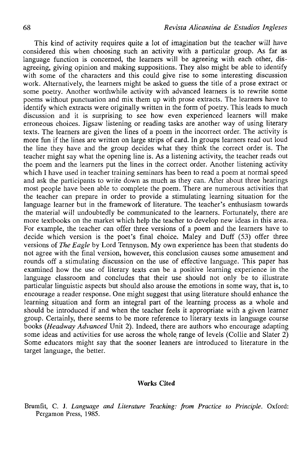This kind of activity requires quite a lot of imagination but the teacher will have considered this when choosing such an activity with a particular group. As far as language function is concerned, the learners will be agreeing with each other, disagreeing, giving opinión and making suppositions. They also might be able to identify with some of the characters and this could give rise to some interesting discussion work. Alternatively, the learners might be asked to guess the title of a prose extract or some poetry. Another worthwhile activity with advanced learners is to rewrite some poems without punctuation and mix them up with prose extraéis. The learners have to identify which extracts were originally written in the form of poetry. This leads to much discussion and it is surprising to see how even experienced learners will make erroneous choices. Jigsaw listening or reading tasks are another way of using literary texts. The learners are given the lines of a poem in the incorrect order. The activity is more fun if the lines are written on large strips of card. In groups learners read out loud the line they have and the group decides what they think the correct order is. The teacher might say what the opening line is. As a listening activity, the teacher reads out the poem and the learners put the lines in the correct order. Another listening activity which I have used in teacher training seminars has been to read a poem at normal speed and ask the participants to write down as much as they can. After about three hearings most people have been able to complete the poem. There are numerous activities that the teacher can prepare in order to provide a stimulating leaming situation for the language learner but in the framework of literature. The teacher's enthusiasm towards the material will undoubtedly be communicated to the learners. Fortunately, there are more textbooks on the market which help the teacher to develop new ideas in this area. For example, the teacher can offer three versions of a poem and the learners have to decide which version is the poet's final choice. Maley and Duff (53) offer three versions of *The Eagle* by Lord Tennyson. My own experience has been that students do not agree with the final versión, however, this conclusión causes some amusement and rounds off a stimulating discussion on the use of effective language. This paper has examined how the use of literary texts can be a positive leaming experience in the language classroom and concludes that their use should not only be to illustrate particular linguistic aspects but should also arouse the emotions in some way, that is, to encourage a reader response. One might suggest that using literature should enhance the learning situation and form an integral part of the leaming process as a whole and should be introduced if and when the teacher feels it appropriate with a given learner group. Certainly, there seems to be more reference to literary texts in language course books *(Headway Advanced* Unit 2). Indeed, there are authors who encourage adapting some ideas and activities for use across the whole range of levels (Collie and Slater 2) Some educators might say that the sooner leaners are introduced to literature in the target language, the better.

## Works Cited

Brumfit, C. J. *Language and Literature Teaching: from Practice to Principie.* Oxford: Pergamon Press, 1985.